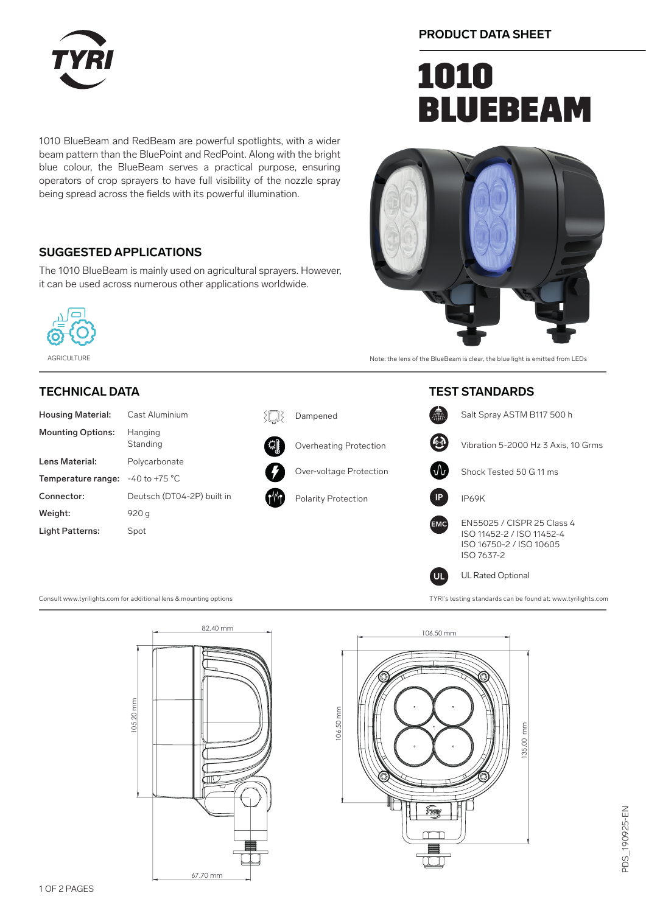

**PRODUCT DATA SHEET**

# **1010 BLUEBEAM**

1010 BlueBeam and RedBeam are powerful spotlights, with a wider beam pattern than the BluePoint and RedPoint. Along with the bright blue colour, the BlueBeam serves a practical purpose, ensuring operators of crop sprayers to have full visibility of the nozzle spray being spread across the fields with its powerful illumination.

### **SUGGESTED APPLICATIONS**

The 1010 BlueBeam is mainly used on agricultural sprayers. However, it can be used across numerous other applications worldwide.



AGRICULTURE Note: the lens of the BlueBeam is clear, the blue light is emitted from LEDs

### **TECHNICAL DATA**

| <b>Housing Material:</b> | Cast Aluminium             |
|--------------------------|----------------------------|
| <b>Mounting Options:</b> | Hanging<br>Standing        |
| Lens Material:           | Polycarbonate              |
| Temperature range:       | $-40$ to $+75$ °C          |
| Connector:               | Deutsch (DT04-2P) built in |
| Weight:                  | 920 g                      |
| Light Patterns:          | Spot                       |



{N}

Overheating Protection

Dampened

Polarity Protection



Consult www.tyrilights.com for additional lens & mounting options TYRI's testing standards can be found at: www.tyrilights.com